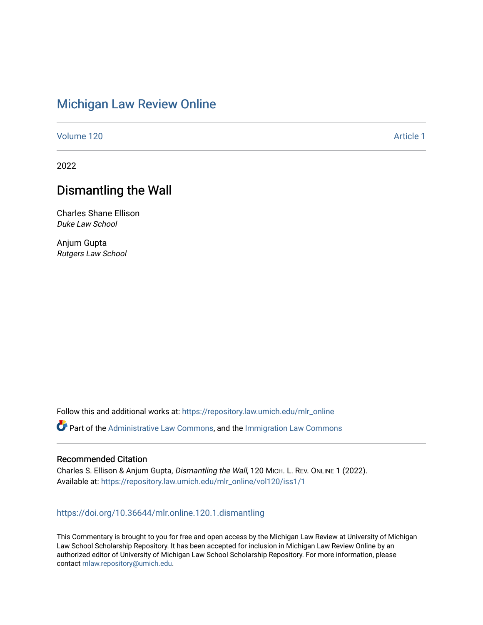# [Michigan Law Review Online](https://repository.law.umich.edu/mlr_online)

[Volume 120](https://repository.law.umich.edu/mlr_online/vol120) Article 1

2022

## Dismantling the Wall

Charles Shane Ellison Duke Law School

Anjum Gupta Rutgers Law School

Follow this and additional works at: [https://repository.law.umich.edu/mlr\\_online](https://repository.law.umich.edu/mlr_online?utm_source=repository.law.umich.edu%2Fmlr_online%2Fvol120%2Fiss1%2F1&utm_medium=PDF&utm_campaign=PDFCoverPages) 

Part of the [Administrative Law Commons,](http://network.bepress.com/hgg/discipline/579?utm_source=repository.law.umich.edu%2Fmlr_online%2Fvol120%2Fiss1%2F1&utm_medium=PDF&utm_campaign=PDFCoverPages) and the [Immigration Law Commons](http://network.bepress.com/hgg/discipline/604?utm_source=repository.law.umich.edu%2Fmlr_online%2Fvol120%2Fiss1%2F1&utm_medium=PDF&utm_campaign=PDFCoverPages) 

#### Recommended Citation

Charles S. Ellison & Anjum Gupta, Dismantling the Wall, 120 MICH. L. REV. ONLINE 1 (2022). Available at: [https://repository.law.umich.edu/mlr\\_online/vol120/iss1/1](https://repository.law.umich.edu/mlr_online/vol120/iss1/1?utm_source=repository.law.umich.edu%2Fmlr_online%2Fvol120%2Fiss1%2F1&utm_medium=PDF&utm_campaign=PDFCoverPages)

### <https://doi.org/10.36644/mlr.online.120.1.dismantling>

This Commentary is brought to you for free and open access by the Michigan Law Review at University of Michigan Law School Scholarship Repository. It has been accepted for inclusion in Michigan Law Review Online by an authorized editor of University of Michigan Law School Scholarship Repository. For more information, please contact [mlaw.repository@umich.edu](mailto:mlaw.repository@umich.edu).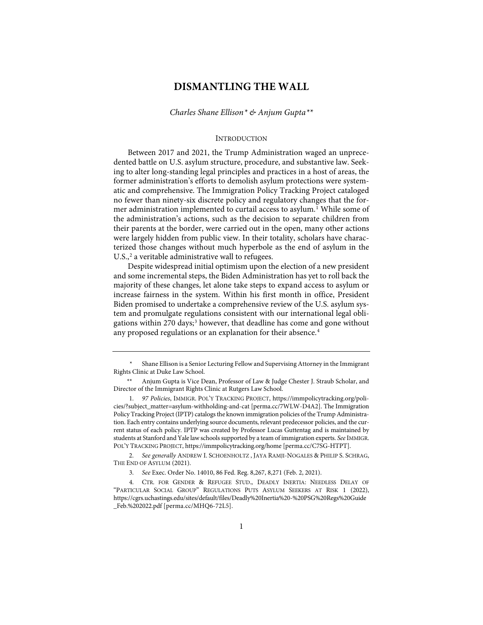### **DISMANTLING THE WALL**

*Charles Shane Ellison[\\*](#page-1-0) & Anjum Gupta[\\*\\*](#page-1-1)*

#### INTRODUCTION

Between 2017 and 2021, the Trump Administration waged an unprecedented battle on U.S. asylum structure, procedure, and substantive law. Seeking to alter long-standing legal principles and practices in a host of areas, the former administration's efforts to demolish asylum protections were systematic and comprehensive. The Immigration Policy Tracking Project cataloged no fewer than ninety-six discrete policy and regulatory changes that the for-mer administration implemented to curtail access to asylum.<sup>[1](#page-1-2)</sup> While some of the administration's actions, such as the decision to separate children from their parents at the border, were carried out in the open, many other actions were largely hidden from public view. In their totality, scholars have characterized those changes without much hyperbole as the end of asylum in the  $U.S.,<sup>2</sup>$  $U.S.,<sup>2</sup>$  $U.S.,<sup>2</sup>$  a veritable administrative wall to refugees.

<span id="page-1-6"></span>Despite widespread initial optimism upon the election of a new president and some incremental steps, the Biden Administration has yet to roll back the majority of these changes, let alone take steps to expand access to asylum or increase fairness in the system. Within his first month in office, President Biden promised to undertake a comprehensive review of the U.S. asylum system and promulgate regulations consistent with our international legal obligations within 270 days;[3](#page-1-4) however, that deadline has come and gone without any proposed regulations or an explanation for their absence.<sup>[4](#page-1-5)</sup>

<span id="page-1-7"></span><span id="page-1-0"></span>Shane Ellison is a Senior Lecturing Fellow and Supervising Attorney in the Immigrant Rights Clinic at Duke Law School.

<span id="page-1-1"></span><sup>\*\*</sup> Anjum Gupta is Vice Dean, Professor of Law & Judge Chester J. Straub Scholar, and Director of the Immigrant Rights Clinic at Rutgers Law School.

<span id="page-1-2"></span> <sup>1.</sup> *97 Policies*, IMMIGR. POL'Y TRACKING PROJECT[, https://immpolicytracking.org/poli](https://immpolicytracking.org/policies/?subject_matter=asylum-withholding-and-cat)[cies/?subject\\_matter=asylum-withholding-and-cat](https://immpolicytracking.org/policies/?subject_matter=asylum-withholding-and-cat) [\[perma.cc/7WLW-D4A2\]](https://perma.cc/7WLW-D4A2). The Immigration Policy Tracking Project (IPTP) catalogs the known immigration policies of the Trump Administration. Each entry contains underlying source documents, relevant predecessor policies, and the current status of each policy. IPTP was created by Professor Lucas Guttentag and is maintained by students at Stanford and Yale law schools supported by a team of immigration experts. *See* IMMIGR. POL'Y TRACKING PROJECT[, https://immpolicytracking.org/home](https://immpolicytracking.org/home/) [\[perma.cc/C7SG-HTPT\]](https://perma.cc/C7SG-HTPT).

<span id="page-1-3"></span> <sup>2.</sup> *See generally* ANDREW I. SCHOENHOLTZ , JAYA RAMJI-NOGALES & PHILIP S. SCHRAG, THE END OF ASYLUM (2021).

 <sup>3.</sup> *See* Exec. Order No. 14010, 86 Fed. Reg. 8,267, 8,271 (Feb. 2, 2021).

<span id="page-1-5"></span><span id="page-1-4"></span> <sup>4.</sup> CTR. FOR GENDER & REFUGEE STUD., DEADLY INERTIA: NEEDLESS DELAY OF "PARTICULAR SOCIAL GROUP" REGULATIONS PUTS ASYLUM SEEKERS AT RISK 1 (2022), [https://cgrs.uchastings.edu/sites/default/files/Deadly%20Inertia%20-%20PSG%20Regs%20Guide](https://cgrs.uchastings.edu/sites/default/files/Deadly%20Inertia%20-%20PSG%20Regs%20Guide_Feb.%202022.pdf) [\\_Feb.%202022.pdf](https://cgrs.uchastings.edu/sites/default/files/Deadly%20Inertia%20-%20PSG%20Regs%20Guide_Feb.%202022.pdf) [\[perma.cc/MHQ6-72L5\]](https://perma.cc/MHQ6-72L5).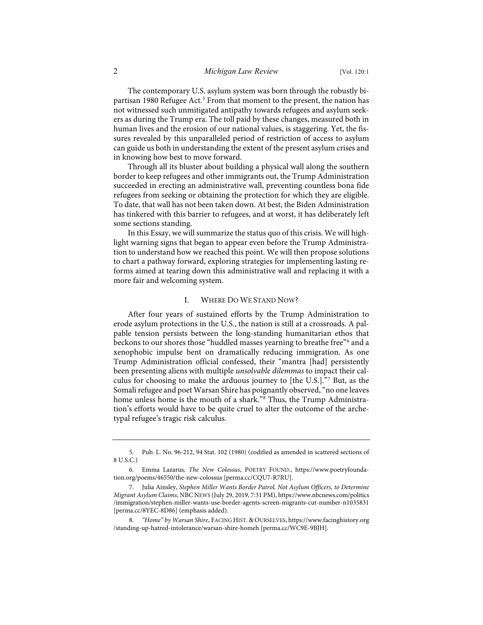The contemporary U.S. asylum system was born through the robustly bi-partisan 1980 Refugee Act.<sup>[5](#page-2-0)</sup> From that moment to the present, the nation has not witnessed such unmitigated antipathy towards refugees and asylum seekers as during the Trump era. The toll paid by these changes, measured both in human lives and the erosion of our national values, is staggering. Yet, the fissures revealed by this unparalleled period of restriction of access to asylum can guide us both in understanding the extent of the present asylum crises and in knowing how best to move forward.

Through all its bluster about building a physical wall along the southern border to keep refugees and other immigrants out, the Trump Administration succeeded in erecting an administrative wall, preventing countless bona fide refugees from seeking or obtaining the protection for which they are eligible. To date, that wall has not been taken down. At best, the Biden Administration has tinkered with this barrier to refugees, and at worst, it has deliberately left some sections standing.

In this Essay, we will summarize the status quo of this crisis. We will highlight warning signs that began to appear even before the Trump Administration to understand how we reached this point. We will then propose solutions to chart a pathway forward, exploring strategies for implementing lasting reforms aimed at tearing down this administrative wall and replacing it with a more fair and welcoming system.

#### I. WHERE DO WE STAND NOW?

After four years of sustained efforts by the Trump Administration to erode asylum protections in the U.S., the nation is still at a crossroads. A palpable tension persists between the long-standing humanitarian ethos that beckons to our shores those "huddled masses yearning to breathe free"[6](#page-2-1) and a xenophobic impulse bent on dramatically reducing immigration. As one Trump Administration official confessed, their "mantra [had] persistently been presenting aliens with multiple *unsolvable dilemmas* to impact their calculus for choosing to make the arduous journey to [the U.S.]."[7](#page-2-2) But, as the Somali refugee and poet Warsan Shire has poignantly observed, "no one leaves home unless home is the mouth of a shark."<sup>[8](#page-2-3)</sup> Thus, the Trump Administration's efforts would have to be quite cruel to alter the outcome of the archetypal refugee's tragic risk calculus.

<span id="page-2-0"></span><sup>5.</sup> Pub. L. No. 96-212, 94 Stat. 102 (1980) (codified as amended in scattered sections of 8 U.S.C.)

<span id="page-2-1"></span><sup>6.</sup> Emma Lazarus*, The New Colossus*, POETRY FOUND., [https://www.poetryfounda](https://www.poetryfoundation.org/poems/46550/the-new-colossus)[tion.org/poems/46550/the-new-colossus](https://www.poetryfoundation.org/poems/46550/the-new-colossus) [\[perma.cc/CQU7-R7RU\]](https://perma.cc/CQU7-R7RU).

<span id="page-2-2"></span><sup>7.</sup> Julia Ainsley, *Stephen Miller Wants Border Patrol, Not Asylum Officers, to Determine Migrant Asylum Claims*, NBC NEWS (July 29, 2019, 7:31 PM)[, https://www.nbcnews.com/politics](https://www.nbcnews.com/politics/immigration/stephen-miller-wants-use-border-agents-screen-migrants-cut-number-n1035831) [/immigration/stephen-miller-wants-use-border-agents-screen-migrants-cut-number-n1035831](https://www.nbcnews.com/politics/immigration/stephen-miller-wants-use-border-agents-screen-migrants-cut-number-n1035831) [\[perma.cc/8YEC-8D86\]](https://perma.cc/8YEC-8D86) (emphasis added).

<span id="page-2-3"></span><sup>8.</sup> *"Home" by Warsan Shire*, FACING HIST. & OURSELVES[, https://www.facinghistory.org](https://www.facinghistory.org/standing-up-hatred-intolerance/warsan-shire-home) [/standing-up-hatred-intolerance/warsan-shire-homeh](https://www.facinghistory.org/standing-up-hatred-intolerance/warsan-shire-home) [\[perma.cc/WC9E-9BJH\]](https://perma.cc/WC9E-9BJH).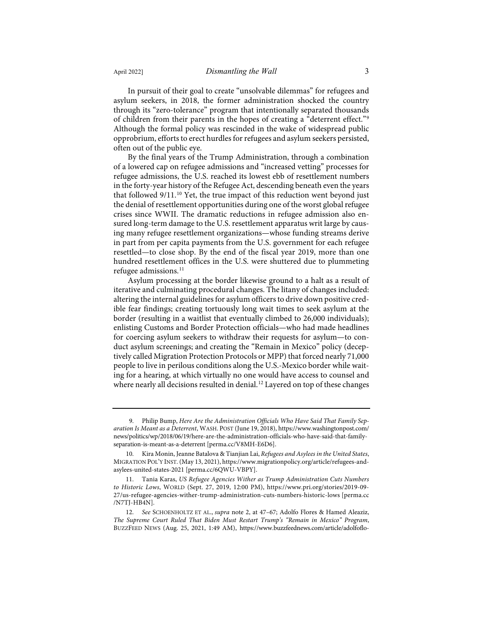In pursuit of their goal to create "unsolvable dilemmas" for refugees and asylum seekers, in 2018, the former administration shocked the country through its "zero-tolerance" program that intentionally separated thousands of children from their parents in the hopes of creating a "deterrent effect."[9](#page-3-0) Although the formal policy was rescinded in the wake of widespread public opprobrium, efforts to erect hurdles for refugees and asylum seekers persisted, often out of the public eye.

By the final years of the Trump Administration, through a combination of a lowered cap on refugee admissions and "increased vetting" processes for refugee admissions, the U.S. reached its lowest ebb of resettlement numbers in the forty-year history of the Refugee Act, descending beneath even the years that followed 9/11.<sup>[10](#page-3-1)</sup> Yet, the true impact of this reduction went beyond just the denial of resettlement opportunities during one of the worst global refugee crises since WWII. The dramatic reductions in refugee admission also ensured long-term damage to the U.S. resettlement apparatus writ large by causing many refugee resettlement organizations—whose funding streams derive in part from per capita payments from the U.S. government for each refugee resettled—to close shop. By the end of the fiscal year 2019, more than one hundred resettlement offices in the U.S. were shuttered due to plummeting refugee admissions.<sup>[11](#page-3-2)</sup>

Asylum processing at the border likewise ground to a halt as a result of iterative and culminating procedural changes. The litany of changes included: altering the internal guidelines for asylum officers to drive down positive credible fear findings; creating tortuously long wait times to seek asylum at the border (resulting in a waitlist that eventually climbed to 26,000 individuals); enlisting Customs and Border Protection officials—who had made headlines for coercing asylum seekers to withdraw their requests for asylum—to conduct asylum screenings; and creating the "Remain in Mexico" policy (deceptively called Migration Protection Protocols or MPP) that forced nearly 71,000 people to live in perilous conditions along the U.S.-Mexico border while waiting for a hearing, at which virtually no one would have access to counsel and where nearly all decisions resulted in denial.<sup>[12](#page-3-3)</sup> Layered on top of these changes

<span id="page-3-4"></span><span id="page-3-0"></span><sup>9.</sup> Philip Bump, *Here Are the Administration Officials Who Have Said That Family Separation Is Meant as a Deterrent*, WASH. POST (June 19, 2018)[, https://www.washingtonpost.com/](https://www.washingtonpost.com/news/politics/wp/2018/06/19/here-are-the-administration-officials-who-have-said-that-family-separation-is-meant-as-a-deterrent/) [news/politics/wp/2018/06/19/here-are-the-administration-officials-who-have-said-that-family](https://www.washingtonpost.com/news/politics/wp/2018/06/19/here-are-the-administration-officials-who-have-said-that-family-separation-is-meant-as-a-deterrent/)[separation-is-meant-as-a-deterrent](https://www.washingtonpost.com/news/politics/wp/2018/06/19/here-are-the-administration-officials-who-have-said-that-family-separation-is-meant-as-a-deterrent/) [\[perma.cc/V8MH-E6D6\]](https://perma.cc/V8MH-E6D6).

<span id="page-3-1"></span><sup>10.</sup> Kira Monin, Jeanne Batalova & Tianjian Lai, *Refugees and Asylees in the United States*, MIGRATION POL'Y INST. (May 13, 2021)[, https://www.migrationpolicy.org/article/refugees-and](https://www.migrationpolicy.org/article/refugees-and-asylees-united-states-2021)[asylees-united-states-2021](https://www.migrationpolicy.org/article/refugees-and-asylees-united-states-2021) [\[perma.cc/6QWU-VBPY\]](https://perma.cc/6QWU-VBPY).

<span id="page-3-2"></span><sup>11.</sup> Tania Karas, *US Refugee Agencies Wither as Trump Administration Cuts Numbers to Historic Lows*, WORLD (Sept. 27, 2019, 12:00 PM), [https://www.pri.org/stories/2019-09-](https://www.pri.org/stories/2019-09-27/us-refugee-agencies-wither-trump-administration-cuts-numbers-historic-lows) [27/us-refugee-agencies-wither-trump-administration-cuts-numbers-historic-lows](https://www.pri.org/stories/2019-09-27/us-refugee-agencies-wither-trump-administration-cuts-numbers-historic-lows) [\[perma.cc](https://perma.cc/N7TJ-HB4N) [/N7TJ-HB4N\]](https://perma.cc/N7TJ-HB4N).

<span id="page-3-3"></span><sup>12.</sup> *See* SCHOENHOLTZ ET AL., *supra* note [2,](#page-1-6) at 47–67; Adolfo Flores & Hamed Aleaziz, *The Supreme Court Ruled That Biden Must Restart Trump's "Remain in Mexico" Program*, BUZZFEED NEWS (Aug. 25, 2021, 1:49 AM), [https://www.buzzfeednews.com/article/adolfoflo-](https://www.buzzfeednews.com/article/adolfoflores/the-supreme-court-ruled-that-biden-must-restart-trumps?utm_source=dailybrief&utm_medium=email&utm_campaign=DailyBrief2021Aug25&utm_term=DailyNewsBrief)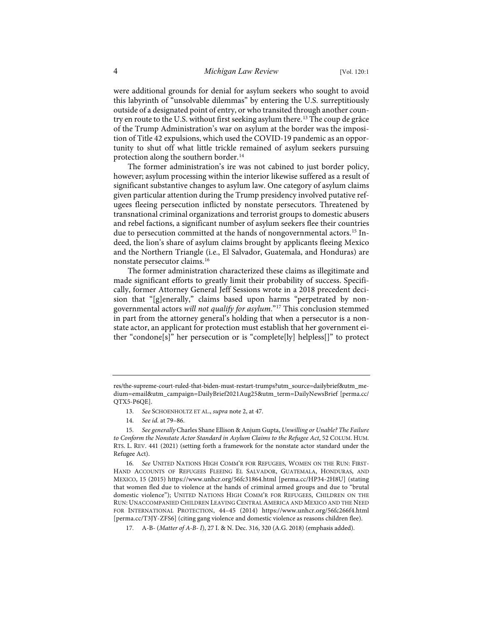were additional grounds for denial for asylum seekers who sought to avoid this labyrinth of "unsolvable dilemmas" by entering the U.S. surreptitiously outside of a designated point of entry, or who transited through another coun-try en route to the U.S. without first seeking asylum there.<sup>[13](#page-4-0)</sup> The coup de grâce of the Trump Administration's war on asylum at the border was the imposition of Title 42 expulsions, which used the COVID-19 pandemic as an opportunity to shut off what little trickle remained of asylum seekers pursuing protection along the southern border.<sup>[14](#page-4-1)</sup>

The former administration's ire was not cabined to just border policy, however; asylum processing within the interior likewise suffered as a result of significant substantive changes to asylum law. One category of asylum claims given particular attention during the Trump presidency involved putative refugees fleeing persecution inflicted by nonstate persecutors. Threatened by transnational criminal organizations and terrorist groups to domestic abusers and rebel factions, a significant number of asylum seekers flee their countries due to persecution committed at the hands of nongovernmental actors.<sup>[15](#page-4-2)</sup> Indeed, the lion's share of asylum claims brought by applicants fleeing Mexico and the Northern Triangle (i.e., El Salvador, Guatemala, and Honduras) are nonstate persecutor claims.[16](#page-4-3)

<span id="page-4-5"></span>The former administration characterized these claims as illegitimate and made significant efforts to greatly limit their probability of success. Specifically, former Attorney General Jeff Sessions wrote in a 2018 precedent decision that "[g]enerally," claims based upon harms "perpetrated by nongovernmental actors *will not qualify for asylum*."[17](#page-4-4) This conclusion stemmed in part from the attorney general's holding that when a persecutor is a nonstate actor, an applicant for protection must establish that her government either "condone[s]" her persecution or is "complete[ly] helpless[]" to protect

- 13. *See* SCHOENHOLTZ ET AL., *supra* note [2,](#page-1-6) at 47.
- 14. *See id.* at 79–86.

[res/the-supreme-court-ruled-that-biden-must-restart-trumps?utm\\_source=dailybrief&utm\\_me](https://www.buzzfeednews.com/article/adolfoflores/the-supreme-court-ruled-that-biden-must-restart-trumps?utm_source=dailybrief&utm_medium=email&utm_campaign=DailyBrief2021Aug25&utm_term=DailyNewsBrief)[dium=email&utm\\_campaign=DailyBrief2021Aug25&utm\\_term=DailyNewsBrief](https://www.buzzfeednews.com/article/adolfoflores/the-supreme-court-ruled-that-biden-must-restart-trumps?utm_source=dailybrief&utm_medium=email&utm_campaign=DailyBrief2021Aug25&utm_term=DailyNewsBrief) [\[perma.cc/](https://perma.cc/QTX5-P6QE) [QTX5-P6QE\]](https://perma.cc/QTX5-P6QE).

<span id="page-4-2"></span><span id="page-4-1"></span><span id="page-4-0"></span><sup>15.</sup> *See generally* Charles Shane Ellison & Anjum Gupta, *Unwilling or Unable? The Failure to Conform the Nonstate Actor Standard in Asylum Claims to the Refugee Act*, 52 COLUM. HUM. RTS. L. REV. 441 (2021) (setting forth a framework for the nonstate actor standard under the Refugee Act).

<span id="page-4-3"></span><sup>16.</sup> *See* UNITED NATIONS HIGH COMM'R FOR REFUGEES, WOMEN ON THE RUN: FIRST-HAND ACCOUNTS OF REFUGEES FLEEING EL SALVADOR, GUATEMALA, HONDURAS, AND MEXICO, 15 (2015)<https://www.unhcr.org/56fc31864.html> [\[perma.cc/HP34-2H8U\]](https://perma.cc/HP34-2H8U) (stating that women fled due to violence at the hands of criminal armed groups and due to "brutal domestic violence"); UNITED NATIONS HIGH COMM'R FOR REFUGEES, CHILDREN ON THE RUN: UNACCOMPANIED CHILDREN LEAVING CENTRAL AMERICA AND MEXICO AND THE NEED FOR INTERNATIONAL PROTECTION, 44–45 (2014) <https://www.unhcr.org/56fc266f4.html> [\[perma.cc/T3JY-ZFS6\]](https://perma.cc/T3JY-ZFS6) (citing gang violence and domestic violence as reasons children flee).

<span id="page-4-4"></span><sup>17.</sup> A-B- (*Matter of A-B- I*), 27 I. & N. Dec. 316, 320 (A.G. 2018) (emphasis added).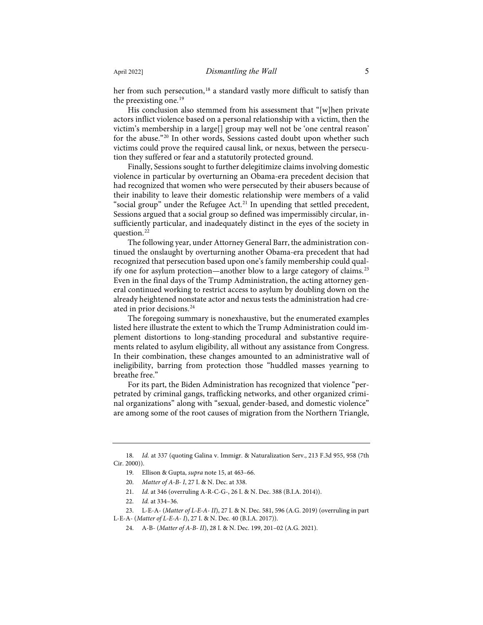her from such persecution,<sup>[18](#page-5-0)</sup> a standard vastly more difficult to satisfy than the preexisting one.<sup>[19](#page-5-1)</sup>

His conclusion also stemmed from his assessment that "[w]hen private actors inflict violence based on a personal relationship with a victim, then the victim's membership in a large[] group may well not be 'one central reason' for the abuse."[20](#page-5-2) In other words, Sessions casted doubt upon whether such victims could prove the required causal link, or nexus, between the persecution they suffered or fear and a statutorily protected ground.

<span id="page-5-7"></span>Finally, Sessions sought to further delegitimize claims involving domestic violence in particular by overturning an Obama-era precedent decision that had recognized that women who were persecuted by their abusers because of their inability to leave their domestic relationship were members of a valid "social group" under the Refugee Act.<sup>[21](#page-5-3)</sup> In upending that settled precedent, Sessions argued that a social group so defined was impermissibly circular, insufficiently particular, and inadequately distinct in the eyes of the society in question.[22](#page-5-4)

<span id="page-5-8"></span>The following year, under Attorney General Barr, the administration continued the onslaught by overturning another Obama-era precedent that had recognized that persecution based upon one's family membership could qual-ify one for asylum protection—another blow to a large category of claims.<sup>[23](#page-5-5)</sup> Even in the final days of the Trump Administration, the acting attorney general continued working to restrict access to asylum by doubling down on the already heightened nonstate actor and nexus tests the administration had created in prior decisions.[24](#page-5-6)

The foregoing summary is nonexhaustive, but the enumerated examples listed here illustrate the extent to which the Trump Administration could implement distortions to long-standing procedural and substantive requirements related to asylum eligibility, all without any assistance from Congress. In their combination, these changes amounted to an administrative wall of ineligibility, barring from protection those "huddled masses yearning to breathe free."

For its part, the Biden Administration has recognized that violence "perpetrated by criminal gangs, trafficking networks, and other organized criminal organizations" along with "sexual, gender-based, and domestic violence" are among some of the root causes of migration from the Northern Triangle,

<span id="page-5-2"></span><span id="page-5-1"></span><span id="page-5-0"></span><sup>18.</sup> *Id.* at 337 (quoting Galina v. Immigr. & Naturalization Serv., 213 F.3d 955, 958 (7th Cir. 2000)).

<sup>19.</sup> Ellison & Gupta, *supra* not[e 15,](#page-4-5) at 463–66.

<sup>20.</sup> *Matter of A-B- I*, 27 I. & N. Dec. at 338.

<sup>21.</sup> *Id.* at 346 (overruling A-R-C-G-, 26 I. & N. Dec. 388 (B.I.A. 2014)).

<sup>22.</sup> *Id.* at 334–36.

<span id="page-5-6"></span><span id="page-5-5"></span><span id="page-5-4"></span><span id="page-5-3"></span><sup>23.</sup> L-E-A- (*Matter of L-E-A- II*), 27 I. & N. Dec. 581, 596 (A.G. 2019) (overruling in part L-E-A- (*Matter of L-E-A- I*), 27 I. & N. Dec. 40 (B.I.A. 2017)).

<sup>24.</sup> A-B- (*Matter of A-B- II*), 28 I. & N. Dec. 199, 201–02 (A.G. 2021).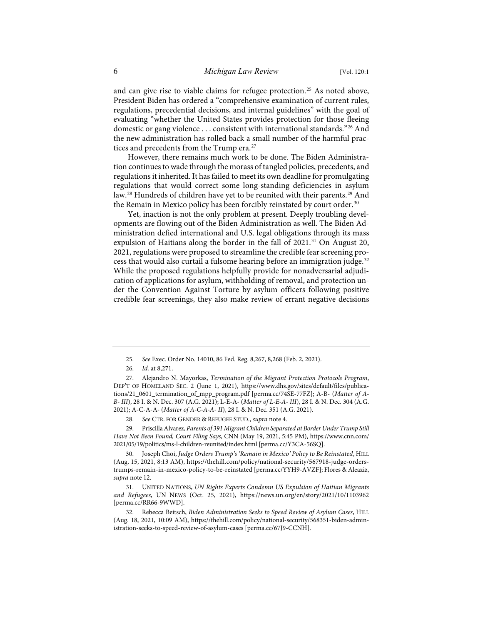and can give rise to viable claims for refugee protection.[25](#page-6-0) As noted above, President Biden has ordered a "comprehensive examination of current rules, regulations, precedential decisions, and internal guidelines" with the goal of evaluating "whether the United States provides protection for those fleeing domestic or gang violence . . . consistent with international standards."[26](#page-6-1) And the new administration has rolled back a small number of the harmful prac-tices and precedents from the Trump era.<sup>[27](#page-6-2)</sup>

However, there remains much work to be done. The Biden Administration continues to wade through the morass of tangled policies, precedents, and regulations it inherited. It has failed to meet its own deadline for promulgating regulations that would correct some long-standing deficiencies in asylum law.<sup>[28](#page-6-3)</sup> Hundreds of children have yet to be reunited with their parents.<sup>29</sup> And the Remain in Mexico policy has been forcibly reinstated by court order.<sup>[30](#page-6-5)</sup>

Yet, inaction is not the only problem at present. Deeply troubling developments are flowing out of the Biden Administration as well. The Biden Administration defied international and U.S. legal obligations through its mass expulsion of Haitians along the border in the fall of  $2021.^{31}$  $2021.^{31}$  $2021.^{31}$  On August 20, 2021, regulations were proposed to streamline the credible fear screening pro-cess that would also curtail a fulsome hearing before an immigration judge.<sup>[32](#page-6-7)</sup> While the proposed regulations helpfully provide for nonadversarial adjudication of applications for asylum, withholding of removal, and protection under the Convention Against Torture by asylum officers following positive credible fear screenings, they also make review of errant negative decisions

<span id="page-6-4"></span><span id="page-6-3"></span>29. Priscilla Alvarez, *Parents of 391 Migrant Children Separated at Border Under Trump Still Have Not Been Found, Court Filing Says*, CNN (May 19, 2021, 5:45 PM), [https://www.cnn.com/](https://www.cnn.com/2021/05/19/politics/ms-l-children-reunited/index.html) [2021/05/19/politics/ms-l-children-reunited/index.html](https://www.cnn.com/2021/05/19/politics/ms-l-children-reunited/index.html) [\[perma.cc/Y3CA-56SQ\]](https://perma.cc/Y3CA-56SQ).

<span id="page-6-5"></span>30. Joseph Choi, *Judge Orders Trump's 'Remain in Mexico' Policy to Be Reinstated*, HILL (Aug. 15, 2021, 8:13 AM)[, https://thehill.com/policy/national-security/567918-judge-orders](https://thehill.com/policy/national-security/567918-judge-orders-trumps-remain-in-mexico-policy-to-be-reinstated)[trumps-remain-in-mexico-policy-to-be-reinstated](https://thehill.com/policy/national-security/567918-judge-orders-trumps-remain-in-mexico-policy-to-be-reinstated) [\[perma.cc/YYH9-AVZF\]](https://perma.cc/YYH9-AVZF); Flores & Aleaziz, *supra* note [12.](#page-3-4) 

<span id="page-6-6"></span>31. UNITED NATIONS, *UN Rights Experts Condemn US Expulsion of Haitian Migrants and Refugees*, UN NEWS (Oct. 25, 2021), <https://news.un.org/en/story/2021/10/1103962> [\[perma.cc/RR66-9WWD\]](https://perma.cc/RR66-9WWD).

<span id="page-6-7"></span>32. Rebecca Beitsch, *Biden Administration Seeks to Speed Review of Asylum Cases*, HILL (Aug. 18, 2021, 10:09 AM), [https://thehill.com/policy/national-security/568351-biden-admin](https://thehill.com/policy/national-security/568351-biden-administration-seeks-to-speed-review-of-asylum-cases)[istration-seeks-to-speed-review-of-asylum-cases](https://thehill.com/policy/national-security/568351-biden-administration-seeks-to-speed-review-of-asylum-cases) [\[perma.cc/67J9-CCNH\]](https://perma.cc/67J9-CCNH).

<sup>25.</sup> *See* Exec. Order No. 14010, 86 Fed. Reg. 8,267, 8,268 (Feb. 2, 2021).

<sup>26.</sup> *Id.* at 8,271.

<span id="page-6-2"></span><span id="page-6-1"></span><span id="page-6-0"></span><sup>27.</sup> Alejandro N. Mayorkas, *Termination of the Migrant Protection Protocols Program*, DEP'T OF HOMELAND SEC. 2 (June 1, 2021), [https://www.dhs.gov/sites/default/files/publica](https://www.dhs.gov/sites/default/files/publications/21_0601_termination_of_mpp_program.pdf)[tions/21\\_0601\\_termination\\_of\\_mpp\\_program.pdf](https://www.dhs.gov/sites/default/files/publications/21_0601_termination_of_mpp_program.pdf) [\[perma.cc/74SE-77FZ\]](https://perma.cc/74SE-77FZ); A-B- (*Matter of A-B- III*), 28 I. & N. Dec. 307 (A.G. 2021); L-E-A- (*Matter of L-E-A- III*), 28 I. & N. Dec. 304 (A.G. 2021); A-C-A-A- (*Matter of A-C-A-A- II*), 28 I. & N. Dec. 351 (A.G. 2021).

<sup>28.</sup> *See* CTR. FOR GENDER & REFUGEE STUD., *supra* not[e 4.](#page-1-7)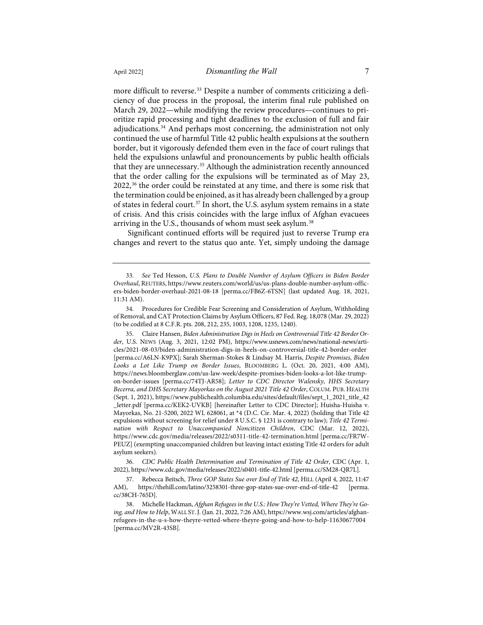more difficult to reverse.<sup>[33](#page-7-0)</sup> Despite a number of comments criticizing a deficiency of due process in the proposal, the interim final rule published on March 29, 2022—while modifying the review procedures—continues to prioritize rapid processing and tight deadlines to the exclusion of full and fair adjudications.[34](#page-7-1) And perhaps most concerning, the administration not only continued the use of harmful Title 42 public health expulsions at the southern border, but it vigorously defended them even in the face of court rulings that held the expulsions unlawful and pronouncements by public health officials that they are unnecessary.<sup>[35](#page-7-2)</sup> Although the administration recently announced that the order calling for the expulsions will be terminated as of May 23, 2022,[36](#page-7-3) the order could be reinstated at any time, and there is some risk that the termination could be enjoined, as it has already been challenged by a group of states in federal court.<sup>[37](#page-7-4)</sup> In short, the U.S. asylum system remains in a state of crisis. And this crisis coincides with the large influx of Afghan evacuees arriving in the U.S., thousands of whom must seek asylum.<sup>[38](#page-7-5)</sup>

<span id="page-7-6"></span>Significant continued efforts will be required just to reverse Trump era changes and revert to the status quo ante. Yet, simply undoing the damage

<span id="page-7-3"></span>36. *CDC Public Health Determination and Termination of Title 42 Order*, CDC (Apr. 1, 2022)[, https://www.cdc.gov/media/releases/2022/s0401-title-42.html](https://www.cdc.gov/media/releases/2022/s0401-title-42.html) [\[perma.cc/SM28-QR7L\]](https://perma.cc/SM28-QR7L).

<span id="page-7-4"></span>37. Rebecca Beitsch, *Three GOP States Sue over End of Title 42*, HILL (April 4, 2022, 11:47 AM), [https://thehill.com/latino/3258301-three-gop-states-sue-over-end-of-title-42](https://thehill.com/latino/3258301-three-gop-states-sue-over-end-of-title-42/) [\[perma.](https://perma.cc/38CH-765D) [cc/38CH-765D\]](https://perma.cc/38CH-765D).

<span id="page-7-5"></span>38. Michelle Hackman, *Afghan Refugees in the U.S.: How They're Vetted, Where They're Going, and How to Help*, WALL ST.J. (Jan. 21, 2022, 7:26 AM), [https://www.wsj.com/articles/afghan](https://www.wsj.com/articles/afghan-refugees-in-the-u-s-how-theyre-vetted-where-theyre-going-and-how-to-help-11630677004)[refugees-in-the-u-s-how-theyre-vetted-where-theyre-going-and-how-to-help-11630677004](https://www.wsj.com/articles/afghan-refugees-in-the-u-s-how-theyre-vetted-where-theyre-going-and-how-to-help-11630677004) [\[perma.cc/MV2R-43SB\]](https://perma.cc/MV2R-43SB).

<span id="page-7-0"></span><sup>33.</sup> *See* Ted Hesson, *U.S. Plans to Double Number of Asylum Officers in Biden Border Overhaul*, REUTERS[, https://www.reuters.com/world/us/us-plans-double-number-asylum-offic](https://www.reuters.com/world/us/us-plans-double-number-asylum-officers-biden-border-overhaul-2021-08-18/)[ers-biden-border-overhaul-2021-08-18](https://www.reuters.com/world/us/us-plans-double-number-asylum-officers-biden-border-overhaul-2021-08-18/) [\[perma.cc/FB6Z-6TSN\]](https://perma.cc/FB6Z-6TSN) (last updated Aug. 18, 2021, 11:31 AM).

<span id="page-7-1"></span><sup>34.</sup> Procedures for Credible Fear Screening and Consideration of Asylum, Withholding of Removal, and CAT Protection Claims by Asylum Officers, 87 Fed. Reg. 18,078 (Mar. 29, 2022) (to be codified at 8 C.F.R. pts. 208, 212, 235, 1003, 1208, 1235, 1240).

<span id="page-7-2"></span><sup>35.</sup> Claire Hansen, *Biden Administration Digs in Heels on Controversial Title 42 Border Order*, U.S. NEWS (Aug. 3, 2021, 12:02 PM), [https://www.usnews.com/news/national-news/arti](https://www.usnews.com/news/national-news/articles/2021-08-03/biden-administration-digs-in-heels-on-controversial-title-42-border-order)[cles/2021-08-03/biden-administration-digs-in-heels-on-controversial-title-42-border-order](https://www.usnews.com/news/national-news/articles/2021-08-03/biden-administration-digs-in-heels-on-controversial-title-42-border-order) [\[perma.cc/A6LN-K9PX\]](https://perma.cc/A6LN-K9PX); Sarah Sherman-Stokes & Lindsay M. Harris, *Despite Promises, Biden Looks a Lot Like Trump on Border Issues*, BLOOMBERG L. (Oct. 20, 2021, 4:00 AM), [https://news.bloomberglaw.com/us-law-week/despite-promises-biden-looks-a-lot-like-trump](https://news.bloomberglaw.com/us-law-week/despite-promises-biden-looks-a-lot-like-trump-on-border-issues)[on-border-issues](https://news.bloomberglaw.com/us-law-week/despite-promises-biden-looks-a-lot-like-trump-on-border-issues) [\[perma.cc/74TJ-AR58\]](https://perma.cc/74TJ-AR58); *Letter to CDC Director Walensky, HHS Secretary Becerra, and DHS Secretary Mayorkas on the August 2021 Title 42 Order*, COLUM. PUB. HEALTH (Sept. 1, 2021), [https://www.publichealth.columbia.edu/sites/default/files/sept\\_1\\_2021\\_title\\_42](https://www.publichealth.columbia.edu/sites/default/files/sept_1_2021_title_42_letter.pdf) [\\_letter.pdf](https://www.publichealth.columbia.edu/sites/default/files/sept_1_2021_title_42_letter.pdf) [\[perma.cc/KEK2-UVKB\]](https://perma.cc/KEK2-UVKB) [hereinafter Letter to CDC Director]; Huisha-Huisha v. Mayorkas, No. 21-5200, 2022 WL 628061, at \*4 (D.C. Cir. Mar. 4, 2022) (holding that Title 42 expulsions without screening for relief under 8 U.S.C. § 1231 is contrary to law); *Title 42 Termination with Respect to Unaccompanied Noncitizen Children*, CDC (Mar. 12, 2022), <https://www.cdc.gov/media/releases/2022/s0311-title-42-termination.html> [\[perma.cc/FR7W-](https://perma.cc/FR7W-PEUZ)[PEUZ\]](https://perma.cc/FR7W-PEUZ) (exempting unaccompanied children but leaving intact existing Title 42 orders for adult asylum seekers)*.*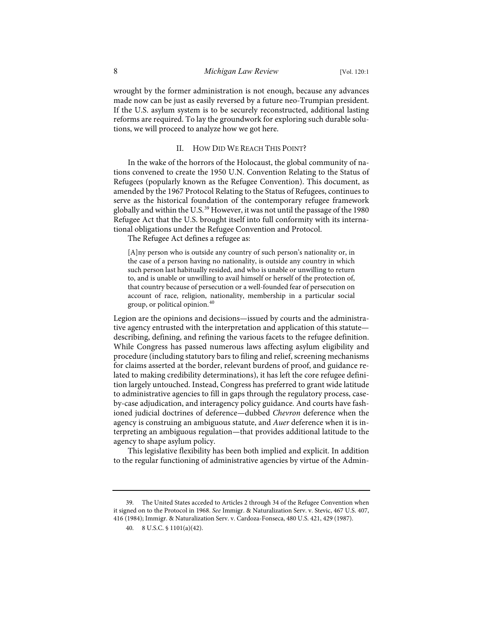wrought by the former administration is not enough, because any advances made now can be just as easily reversed by a future neo-Trumpian president. If the U.S. asylum system is to be securely reconstructed, additional lasting reforms are required. To lay the groundwork for exploring such durable solutions, we will proceed to analyze how we got here.

#### II. HOW DID WE REACH THIS POINT?

In the wake of the horrors of the Holocaust, the global community of nations convened to create the 1950 U.N. Convention Relating to the Status of Refugees (popularly known as the Refugee Convention). This document, as amended by the 1967 Protocol Relating to the Status of Refugees, continues to serve as the historical foundation of the contemporary refugee framework globally and within the U.S.[39](#page-8-0) However, it was not until the passage of the 1980 Refugee Act that the U.S. brought itself into full conformity with its international obligations under the Refugee Convention and Protocol.

The Refugee Act defines a refugee as:

[A]ny person who is outside any country of such person's nationality or, in the case of a person having no nationality, is outside any country in which such person last habitually resided, and who is unable or unwilling to return to, and is unable or unwilling to avail himself or herself of the protection of, that country because of persecution or a well-founded fear of persecution on account of race, religion, nationality, membership in a particular social group, or political opinion.[40](#page-8-1)

Legion are the opinions and decisions—issued by courts and the administrative agency entrusted with the interpretation and application of this statute describing, defining, and refining the various facets to the refugee definition. While Congress has passed numerous laws affecting asylum eligibility and procedure (including statutory bars to filing and relief, screening mechanisms for claims asserted at the border, relevant burdens of proof, and guidance related to making credibility determinations), it has left the core refugee definition largely untouched. Instead, Congress has preferred to grant wide latitude to administrative agencies to fill in gaps through the regulatory process, caseby-case adjudication, and interagency policy guidance. And courts have fashioned judicial doctrines of deference—dubbed *Chevron* deference when the agency is construing an ambiguous statute, and *Auer* deference when it is interpreting an ambiguous regulation—that provides additional latitude to the agency to shape asylum policy.

This legislative flexibility has been both implied and explicit. In addition to the regular functioning of administrative agencies by virtue of the Admin-

<span id="page-8-1"></span><span id="page-8-0"></span><sup>39.</sup> The United States acceded to Articles 2 through 34 of the Refugee Convention when it signed on to the Protocol in 1968. *See* Immigr. & Naturalization Serv. v. Stevic, 467 U.S. 407, 416 (1984); Immigr. & Naturalization Serv. v. Cardoza-Fonseca, 480 U.S. 421, 429 (1987).

<sup>40.</sup> 8 U.S.C. § 1101(a)(42).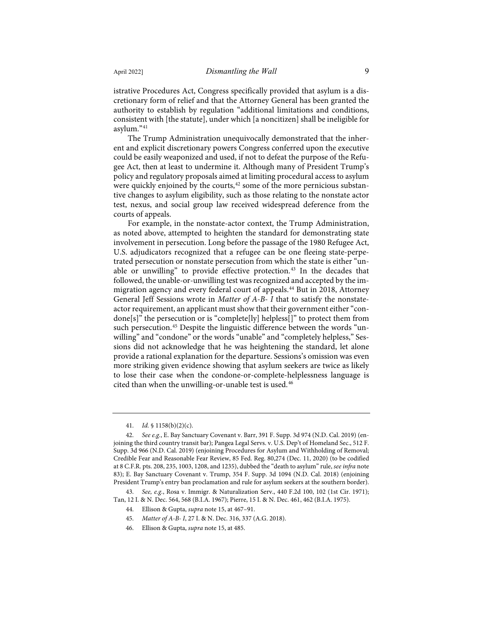istrative Procedures Act, Congress specifically provided that asylum is a discretionary form of relief and that the Attorney General has been granted the authority to establish by regulation "additional limitations and conditions, consistent with [the statute], under which [a noncitizen] shall be ineligible for asylum."[41](#page-9-0)

The Trump Administration unequivocally demonstrated that the inherent and explicit discretionary powers Congress conferred upon the executive could be easily weaponized and used, if not to defeat the purpose of the Refugee Act, then at least to undermine it. Although many of President Trump's policy and regulatory proposals aimed at limiting procedural access to asylum were quickly enjoined by the courts,<sup>[42](#page-9-1)</sup> some of the more pernicious substantive changes to asylum eligibility, such as those relating to the nonstate actor test, nexus, and social group law received widespread deference from the courts of appeals.

For example, in the nonstate-actor context, the Trump Administration, as noted above, attempted to heighten the standard for demonstrating state involvement in persecution. Long before the passage of the 1980 Refugee Act, U.S. adjudicators recognized that a refugee can be one fleeing state-perpetrated persecution or nonstate persecution from which the state is either "un-able or unwilling" to provide effective protection.<sup>[43](#page-9-2)</sup> In the decades that followed, the unable-or-unwilling test was recognized and accepted by the im-migration agency and every federal court of appeals.<sup>[44](#page-9-3)</sup> But in 2018, Attorney General Jeff Sessions wrote in *Matter of A-B- I* that to satisfy the nonstateactor requirement, an applicant must show that their government either "condone[s]" the persecution or is "complete[ly] helpless[]" to protect them from such persecution.<sup>[45](#page-9-4)</sup> Despite the linguistic difference between the words "unwilling" and "condone" or the words "unable" and "completely helpless," Sessions did not acknowledge that he was heightening the standard, let alone provide a rational explanation for the departure. Sessions's omission was even more striking given evidence showing that asylum seekers are twice as likely to lose their case when the condone-or-complete-helplessness language is cited than when the unwilling-or-unable test is used.<sup>[46](#page-9-5)</sup>

<span id="page-9-5"></span><span id="page-9-4"></span><span id="page-9-3"></span><span id="page-9-2"></span>43. *See, e.g.*, Rosa v. Immigr. & Naturalization Serv., 440 F.2d 100, 102 (1st Cir. 1971); Tan, 12 I. & N. Dec. 564, 568 (B.I.A. 1967); Pierre, 15 I. & N. Dec. 461, 462 (B.I.A. 1975).

- 44. Ellison & Gupta, *supra* not[e 15,](#page-4-5) at 467–91.
- 45. *Matter of A-B- I*, 27 I. & N. Dec. 316, 337 (A.G. 2018).
- 46. Ellison & Gupta, *supra* not[e 15,](#page-4-5) at 485.

<sup>41.</sup> *Id.* § 1158(b)(2)(c).

<span id="page-9-1"></span><span id="page-9-0"></span><sup>42.</sup> *See e.g.*, E. Bay Sanctuary Covenant v. Barr, 391 F. Supp. 3d 974 (N.D. Cal. 2019) (enjoining the third country transit bar); Pangea Legal Servs. v. U.S. Dep't of Homeland Sec., 512 F. Supp. 3d 966 (N.D. Cal. 2019) (enjoining Procedures for Asylum and Withholding of Removal; Credible Fear and Reasonable Fear Review, 85 Fed. Reg. 80,274 (Dec. 11, 2020) (to be codified at 8 C.F.R. pts. 208, 235, 1003, 1208, and 1235), dubbed the "death to asylum" rule, *see infra* note [83\)](#page-14-0); E. Bay Sanctuary Covenant v. Trump, 354 F. Supp. 3d 1094 (N.D. Cal. 2018) (enjoining President Trump's entry ban proclamation and rule for asylum seekers at the southern border).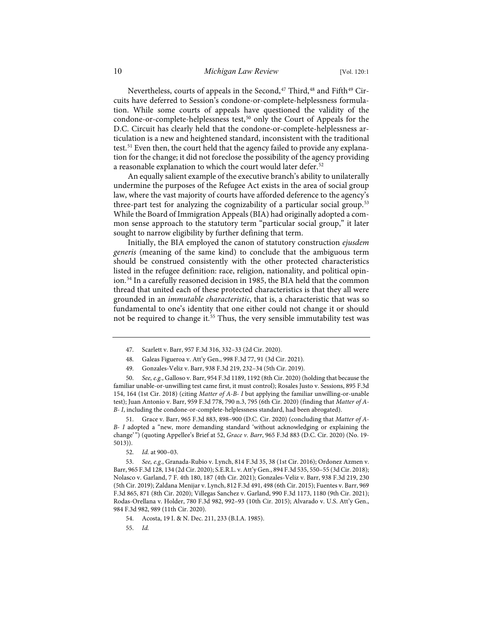Nevertheless, courts of appeals in the Second,<sup>[47](#page-10-0)</sup> Third,<sup>[48](#page-10-1)</sup> and Fifth<sup>[49](#page-10-2)</sup> Circuits have deferred to Session's condone-or-complete-helplessness formulation. While some courts of appeals have questioned the validity of the condone-or-complete-helplessness test,<sup>[50](#page-10-3)</sup> only the Court of Appeals for the D.C. Circuit has clearly held that the condone-or-complete-helplessness articulation is a new and heightened standard, inconsistent with the traditional test.<sup>[51](#page-10-4)</sup> Even then, the court held that the agency failed to provide any explanation for the change; it did not foreclose the possibility of the agency providing a reasonable explanation to which the court would later defer.<sup>[52](#page-10-5)</sup>

An equally salient example of the executive branch's ability to unilaterally undermine the purposes of the Refugee Act exists in the area of social group law, where the vast majority of courts have afforded deference to the agency's three-part test for analyzing the cognizability of a particular social group.<sup>[53](#page-10-6)</sup> While the Board of Immigration Appeals (BIA) had originally adopted a common sense approach to the statutory term "particular social group," it later sought to narrow eligibility by further defining that term.

Initially, the BIA employed the canon of statutory construction *ejusdem generis* (meaning of the same kind) to conclude that the ambiguous term should be construed consistently with the other protected characteristics listed in the refugee definition: race, religion, nationality, and political opinion.[54](#page-10-7) In a carefully reasoned decision in 1985, the BIA held that the common thread that united each of these protected characteristics is that they all were grounded in an *immutable characteristic*, that is, a characteristic that was so fundamental to one's identity that one either could not change it or should not be required to change it.<sup>[55](#page-10-8)</sup> Thus, the very sensible immutability test was

<span id="page-10-3"></span><span id="page-10-2"></span><span id="page-10-1"></span><span id="page-10-0"></span>50. *See, e.g.*, Galloso v. Barr, 954 F.3d 1189, 1192 (8th Cir. 2020) (holding that because the familiar unable-or-unwilling test came first, it must control); Rosales Justo v. Sessions, 895 F.3d 154, 164 (1st Cir. 2018) (citing *Matter of A-B- I* but applying the familiar unwilling-or-unable test); Juan Antonio v. Barr, 959 F.3d 778, 790 n.3, 795 (6th Cir. 2020) (finding that *Matter of A-B- I*, including the condone-or-complete-helplessness standard, had been abrogated).

<span id="page-10-4"></span>51. Grace v. Barr, 965 F.3d 883, 898–900 (D.C. Cir. 2020) (concluding that *Matter of A-B- I* adopted a "new, more demanding standard 'without acknowledging or explaining the change' ") (quoting Appellee's Brief at 52, *Grace v. Barr*, 965 F.3d 883 (D.C. Cir. 2020) (No. 19- 5013)).

52. *Id.* at 900–03.

<span id="page-10-6"></span><span id="page-10-5"></span>53. *See, e.g.*, Granada-Rubio v. Lynch, 814 F.3d 35, 38 (1st Cir. 2016); Ordonez Azmen v. Barr, 965 F.3d 128, 134 (2d Cir. 2020); S.E.R.L. v. Att'y Gen., 894 F.3d 535, 550–55 (3d Cir. 2018); Nolasco v. Garland, 7 F. 4th 180, 187 (4th Cir. 2021); Gonzales-Veliz v. Barr, 938 F.3d 219, 230 (5th Cir. 2019); Zaldana Menijar v. Lynch, 812 F.3d 491, 498 (6th Cir. 2015); Fuentes v. Barr, 969 F.3d 865, 871 (8th Cir. 2020); Villegas Sanchez v. Garland, 990 F.3d 1173, 1180 (9th Cir. 2021); Rodas-Orellana v. Holder, 780 F.3d 982, 992–93 (10th Cir. 2015); Alvarado v. U.S. Att'y Gen., 984 F.3d 982, 989 (11th Cir. 2020).

<span id="page-10-7"></span>54. Acosta, 19 I. & N. Dec. 211, 233 (B.I.A. 1985).

<span id="page-10-8"></span>55. *Id.*

<sup>47.</sup> Scarlett v. Barr, 957 F.3d 316, 332–33 (2d Cir. 2020).

<sup>48.</sup> Galeas Figueroa v. Att'y Gen., 998 F.3d 77, 91 (3d Cir. 2021).

<sup>49.</sup> Gonzales-Veliz v. Barr, 938 F.3d 219, 232–34 (5th Cir. 2019).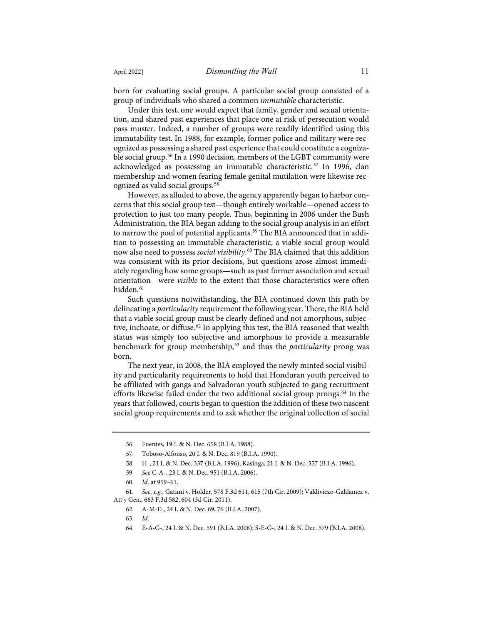born for evaluating social groups. A particular social group consisted of a group of individuals who shared a common *immutable* characteristic.

Under this test, one would expect that family, gender and sexual orientation, and shared past experiences that place one at risk of persecution would pass muster. Indeed, a number of groups were readily identified using this immutability test. In 1988, for example, former police and military were recognized as possessing a shared past experience that could constitute a cogniza-ble social group.<sup>[56](#page-11-0)</sup> In a 1990 decision, members of the LGBT community were acknowledged as possessing an immutable characteristic.<sup>[57](#page-11-1)</sup> In 1996, clan membership and women fearing female genital mutilation were likewise recognized as valid social groups.[58](#page-11-2)

However, as alluded to above, the agency apparently began to harbor concerns that this social group test—though entirely workable—opened access to protection to just too many people. Thus, beginning in 2006 under the Bush Administration, the BIA began adding to the social group analysis in an effort to narrow the pool of potential applicants.<sup>[59](#page-11-3)</sup> The BIA announced that in addition to possessing an immutable characteristic, a viable social group would now also need to possess *social visibility*. [60](#page-11-4) The BIA claimed that this addition was consistent with its prior decisions, but questions arose almost immediately regarding how some groups—such as past former association and sexual orientation—were *visible* to the extent that those characteristics were often hidden.<sup>[61](#page-11-5)</sup>

Such questions notwithstanding, the BIA continued down this path by delineating a *particularity* requirement the following year. There, the BIA held that a viable social group must be clearly defined and not amorphous, subjec-tive, inchoate, or diffuse.<sup>[62](#page-11-6)</sup> In applying this test, the BIA reasoned that wealth status was simply too subjective and amorphous to provide a measurable benchmark for group membership,<sup>[63](#page-11-7)</sup> and thus the *particularity* prong was born.

The next year, in 2008, the BIA employed the newly minted social visibility and particularity requirements to hold that Honduran youth perceived to be affiliated with gangs and Salvadoran youth subjected to gang recruitment efforts likewise failed under the two additional social group prongs.<sup>[64](#page-11-8)</sup> In the years that followed, courts began to question the addition of these two nascent social group requirements and to ask whether the original collection of social

<sup>56.</sup> Fuentes, 19 I. & N. Dec. 658 (B.I.A. 1988).

<sup>57.</sup> Toboso-Alfonso, 20 I. & N. Dec. 819 (B.I.A. 1990).

<sup>58.</sup> H-, 21 I. & N. Dec. 337 (B.I.A. 1996); Kasinga, 21 I. & N. Dec. 357 (B.I.A. 1996).

<sup>59.</sup> *See* C-A-, 23 I. & N. Dec. 951 (B.I.A. 2006).

<sup>60.</sup> *Id.* at 959–61.

<span id="page-11-8"></span><span id="page-11-7"></span><span id="page-11-6"></span><span id="page-11-5"></span><span id="page-11-4"></span><span id="page-11-3"></span><span id="page-11-2"></span><span id="page-11-1"></span><span id="page-11-0"></span><sup>61.</sup> *See, e.g.*, Gatimi v. Holder, 578 F.3d 611, 615 (7th Cir. 2009); Valdiviezo-Galdamez v. Att'y Gen., 663 F.3d 582, 604 (3d Cir. 2011).

<sup>62.</sup> A-M-E-, 24 I. & N. Dec. 69, 76 (B.I.A. 2007).

<sup>63.</sup> *Id.*

<sup>64.</sup> E-A-G-, 24 I. & N. Dec. 591 (B.I.A. 2008); S-E-G-, 24 I. & N. Dec. 579 (B.I.A. 2008).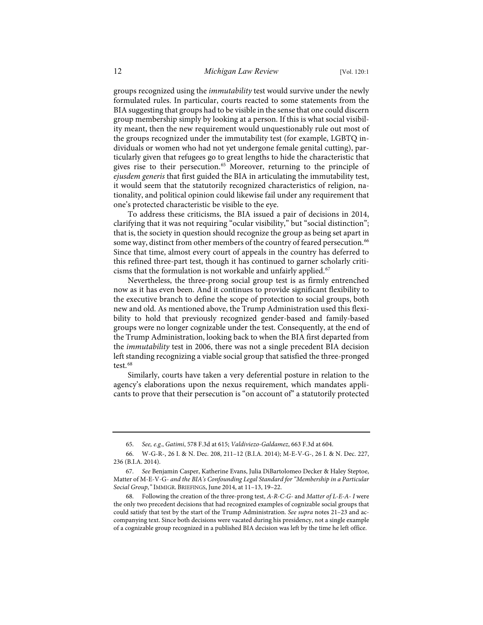groups recognized using the *immutability* test would survive under the newly formulated rules. In particular, courts reacted to some statements from the BIA suggesting that groups had to be visible in the sense that one could discern group membership simply by looking at a person. If this is what social visibility meant, then the new requirement would unquestionably rule out most of the groups recognized under the immutability test (for example, LGBTQ individuals or women who had not yet undergone female genital cutting), particularly given that refugees go to great lengths to hide the characteristic that gives rise to their persecution.<sup>[65](#page-12-0)</sup> Moreover, returning to the principle of *ejusdem generis* that first guided the BIA in articulating the immutability test, it would seem that the statutorily recognized characteristics of religion, nationality, and political opinion could likewise fail under any requirement that one's protected characteristic be visible to the eye.

To address these criticisms, the BIA issued a pair of decisions in 2014, clarifying that it was not requiring "ocular visibility," but "social distinction"; that is, the society in question should recognize the group as being set apart in some way, distinct from other members of the country of feared persecution.<sup>[66](#page-12-1)</sup> Since that time, almost every court of appeals in the country has deferred to this refined three-part test, though it has continued to garner scholarly criticisms that the formulation is not workable and unfairly applied. [67](#page-12-2)

Nevertheless, the three-prong social group test is as firmly entrenched now as it has even been. And it continues to provide significant flexibility to the executive branch to define the scope of protection to social groups, both new and old. As mentioned above, the Trump Administration used this flexibility to hold that previously recognized gender-based and family-based groups were no longer cognizable under the test. Consequently, at the end of the Trump Administration, looking back to when the BIA first departed from the *immutability* test in 2006, there was not a single precedent BIA decision left standing recognizing a viable social group that satisfied the three-pronged test.<sup>[68](#page-12-3)</sup>

Similarly, courts have taken a very deferential posture in relation to the agency's elaborations upon the nexus requirement, which mandates applicants to prove that their persecution is "on account of" a statutorily protected

<sup>65.</sup> *See, e.g.*, *Gatimi*, 578 F.3d at 615; *Valdiviezo-Galdamez*, 663 F.3d at 604.

<span id="page-12-1"></span><span id="page-12-0"></span><sup>66.</sup> W-G-R-, 26 I. & N. Dec. 208, 211–12 (B.I.A. 2014); M-E-V-G-, 26 I. & N. Dec. 227, 236 (B.I.A. 2014).

<span id="page-12-2"></span><sup>67.</sup> *See* Benjamin Casper, Katherine Evans, Julia DiBartolomeo Decker & Haley Steptoe, Matter of M-E-V-G- *and the BIA's Confounding Legal Standard for "Membership in a Particular Social Group,"* IMMIGR. BRIEFINGS, June 2014, at 11–13, 19–22.

<span id="page-12-3"></span><sup>68.</sup> Following the creation of the three-prong test, *A-R-C-G-* and *Matter of L-E-A- I* were the only two precedent decisions that had recognized examples of cognizable social groups that could satisfy that test by the start of the Trump Administration. *See supra* note[s 21](#page-5-7)[–23](#page-5-8) and accompanying text. Since both decisions were vacated during his presidency, not a single example of a cognizable group recognized in a published BIA decision was left by the time he left office.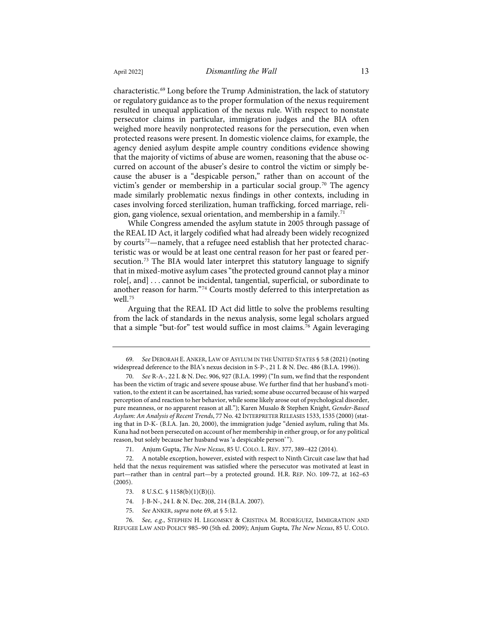<span id="page-13-0"></span>characteristic.[69](#page-13-1) Long before the Trump Administration, the lack of statutory or regulatory guidance as to the proper formulation of the nexus requirement resulted in unequal application of the nexus rule. With respect to nonstate persecutor claims in particular, immigration judges and the BIA often weighed more heavily nonprotected reasons for the persecution, even when protected reasons were present. In domestic violence claims, for example, the agency denied asylum despite ample country conditions evidence showing that the majority of victims of abuse are women, reasoning that the abuse occurred on account of the abuser's desire to control the victim or simply because the abuser is a "despicable person," rather than on account of the victim's gender or membership in a particular social group.<sup>[70](#page-13-2)</sup> The agency made similarly problematic nexus findings in other contexts, including in cases involving forced sterilization, human trafficking, forced marriage, reli-gion, gang violence, sexual orientation, and membership in a family.<sup>[71](#page-13-3)</sup>

While Congress amended the asylum statute in 2005 through passage of the REAL ID Act, it largely codified what had already been widely recognized by courts<sup>72</sup>—namely, that a refugee need establish that her protected characteristic was or would be at least one central reason for her past or feared per-secution.<sup>[73](#page-13-5)</sup> The BIA would later interpret this statutory language to signify that in mixed-motive asylum cases "the protected ground cannot play a minor role[, and] . . . cannot be incidental, tangential, superficial, or subordinate to another reason for harm."[74](#page-13-6) Courts mostly deferred to this interpretation as well.[75](#page-13-7)

<span id="page-13-9"></span>Arguing that the REAL ID Act did little to solve the problems resulting from the lack of standards in the nexus analysis, some legal scholars argued that a simple "but-for" test would suffice in most claims.[76](#page-13-8) Again leveraging

<span id="page-13-1"></span><sup>69.</sup> *See* DEBORAH E.ANKER, LAW OF ASYLUM IN THE UNITED STATES § 5:8 (2021) (noting widespread deference to the BIA's nexus decision in S-P-, 21 I. & N. Dec. 486 (B.I.A. 1996)).

<span id="page-13-2"></span><sup>70.</sup> *See* R-A-, 22 I. & N. Dec. 906, 927 (B.I.A. 1999) ("In sum, we find that the respondent has been the victim of tragic and severe spouse abuse. We further find that her husband's motivation, to the extent it can be ascertained, has varied; some abuse occurred because of his warped perception of and reaction to her behavior, while some likely arose out of psychological disorder, pure meanness, or no apparent reason at all."); Karen Musalo & Stephen Knight, *Gender-Based Asylum: An Analysis of Recent Trends*, 77 No. 42 INTERPRETER RELEASES 1533, 1535 (2000) (stating that in D-K- (B.I.A. Jan. 20, 2000), the immigration judge "denied asylum, ruling that Ms. Kuna had not been persecuted on account of her membership in either group, or for any political reason, but solely because her husband was 'a despicable person' ").

<sup>71.</sup> Anjum Gupta, *The New Nexus*, 85 U. COLO. L. REV. 377, 389–422 (2014).

<span id="page-13-4"></span><span id="page-13-3"></span><sup>72.</sup> A notable exception, however, existed with respect to Ninth Circuit case law that had held that the nexus requirement was satisfied where the persecutor was motivated at least in part—rather than in central part—by a protected ground. H.R. REP. NO. 109-72, at 162–63 (2005).

<sup>73.</sup> 8 U.S.C. § 1158(b)(1)(B)(i).

<sup>74.</sup> J-B-N-, 24 I. & N. Dec. 208, 214 (B.I.A. 2007).

<sup>75.</sup> *See* ANKER, *supra* not[e 69,](#page-13-0) at § 5:12.

<span id="page-13-8"></span><span id="page-13-7"></span><span id="page-13-6"></span><span id="page-13-5"></span><sup>76.</sup> *See, e.g.*, STEPHEN H. LEGOMSKY & CRISTINA M. RODRÍGUEZ, IMMIGRATION AND REFUGEE LAW AND POLICY 985–90 (5th ed. 2009); Anjum Gupta, *The New Nexus*, 85 U. COLO.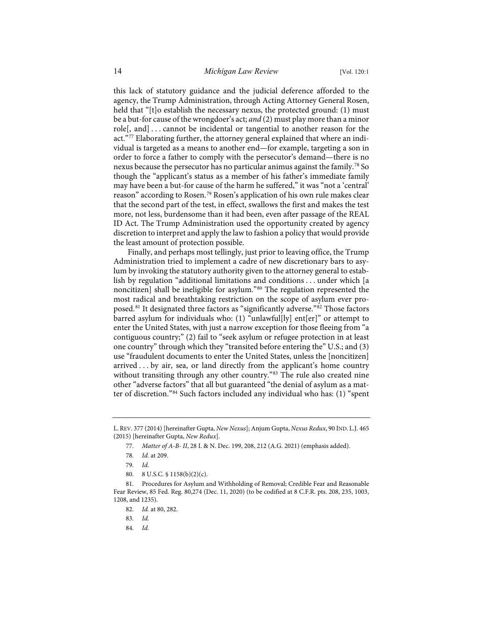this lack of statutory guidance and the judicial deference afforded to the agency, the Trump Administration, through Acting Attorney General Rosen, held that "[t]o establish the necessary nexus, the protected ground: (1) must be a but-for cause of the wrongdoer's act; *and* (2) must play more than a minor role[, and] . . . cannot be incidental or tangential to another reason for the act."[77](#page-14-1) Elaborating further, the attorney general explained that where an individual is targeted as a means to another end—for example, targeting a son in order to force a father to comply with the persecutor's demand—there is no nexus because the persecutor has no particular animus against the family.<sup>[78](#page-14-2)</sup> So though the "applicant's status as a member of his father's immediate family may have been a but-for cause of the harm he suffered," it was "not a 'central' reason" according to Rosen.<sup>[79](#page-14-3)</sup> Rosen's application of his own rule makes clear that the second part of the test, in effect, swallows the first and makes the test more, not less, burdensome than it had been, even after passage of the REAL ID Act. The Trump Administration used the opportunity created by agency discretion to interpret and apply the law to fashion a policy that would provide the least amount of protection possible.

Finally, and perhaps most tellingly, just prior to leaving office, the Trump Administration tried to implement a cadre of new discretionary bars to asylum by invoking the statutory authority given to the attorney general to establish by regulation "additional limitations and conditions . . . under which [a noncitizen] shall be ineligible for asylum."[80](#page-14-4) The regulation represented the most radical and breathtaking restriction on the scope of asylum ever proposed.[81](#page-14-5) It designated three factors as "significantly adverse."[82](#page-14-6) Those factors barred asylum for individuals who:  $(1)$  "unlawful[ly] ent[er]" or attempt to enter the United States, with just a narrow exception for those fleeing from "a contiguous country;" (2) fail to "seek asylum or refugee protection in at least one country" through which they "transited before entering the" U.S.; and (3) use "fraudulent documents to enter the United States, unless the [noncitizen] arrived . . . by air, sea, or land directly from the applicant's home country without transiting through any other country."<sup>[83](#page-14-7)</sup> The rule also created nine other "adverse factors" that all but guaranteed "the denial of asylum as a matter of discretion."[84](#page-14-8) Such factors included any individual who has: (1) "spent

84. *Id.*

<span id="page-14-2"></span><span id="page-14-1"></span>L. REV. 377 (2014) [hereinafter Gupta, *New Nexus*]; Anjum Gupta, *Nexus Redux*, 90 IND. L.J. 465 (2015) [hereinafter Gupta, *New Redux*].

<span id="page-14-0"></span><sup>77.</sup> *Matter of A-B- II*, 28 I. & N. Dec. 199, 208, 212 (A.G. 2021) (emphasis added).

<sup>78.</sup> *Id.* at 209.

<sup>79.</sup> *Id.*

<sup>80.</sup> 8 U.S.C. § 1158(b)(2)(c).

<span id="page-14-8"></span><span id="page-14-7"></span><span id="page-14-6"></span><span id="page-14-5"></span><span id="page-14-4"></span><span id="page-14-3"></span><sup>81.</sup> Procedures for Asylum and Withholding of Removal; Credible Fear and Reasonable Fear Review, 85 Fed. Reg. 80,274 (Dec. 11, 2020) (to be codified at 8 C.F.R. pts. 208, 235, 1003, 1208, and 1235).

<sup>82.</sup> *Id.* at 80, 282.

<sup>83.</sup> *Id.*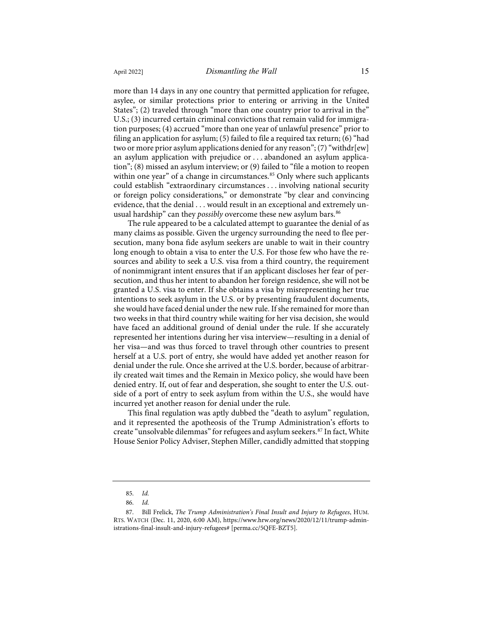more than 14 days in any one country that permitted application for refugee, asylee, or similar protections prior to entering or arriving in the United States"; (2) traveled through "more than one country prior to arrival in the" U.S.; (3) incurred certain criminal convictions that remain valid for immigration purposes; (4) accrued "more than one year of unlawful presence" prior to filing an application for asylum; (5) failed to file a required tax return; (6) "had two or more prior asylum applications denied for any reason"; (7) "withdr[ew] an asylum application with prejudice or . . . abandoned an asylum application"; (8) missed an asylum interview; or (9) failed to "file a motion to reopen within one year" of a change in circumstances.<sup>[85](#page-15-0)</sup> Only where such applicants could establish "extraordinary circumstances . . . involving national security or foreign policy considerations," or demonstrate "by clear and convincing evidence, that the denial . . . would result in an exceptional and extremely unusual hardship" can they *possibly* overcome these new asylum bars.<sup>[86](#page-15-1)</sup>

The rule appeared to be a calculated attempt to guarantee the denial of as many claims as possible. Given the urgency surrounding the need to flee persecution, many bona fide asylum seekers are unable to wait in their country long enough to obtain a visa to enter the U.S. For those few who have the resources and ability to seek a U.S. visa from a third country, the requirement of nonimmigrant intent ensures that if an applicant discloses her fear of persecution, and thus her intent to abandon her foreign residence, she will not be granted a U.S. visa to enter. If she obtains a visa by misrepresenting her true intentions to seek asylum in the U.S. or by presenting fraudulent documents, she would have faced denial under the new rule. If she remained for more than two weeks in that third country while waiting for her visa decision, she would have faced an additional ground of denial under the rule. If she accurately represented her intentions during her visa interview—resulting in a denial of her visa—and was thus forced to travel through other countries to present herself at a U.S. port of entry, she would have added yet another reason for denial under the rule. Once she arrived at the U.S. border, because of arbitrarily created wait times and the Remain in Mexico policy, she would have been denied entry. If, out of fear and desperation, she sought to enter the U.S. outside of a port of entry to seek asylum from within the U.S., she would have incurred yet another reason for denial under the rule.

This final regulation was aptly dubbed the "death to asylum" regulation, and it represented the apotheosis of the Trump Administration's efforts to create "unsolvable dilemmas" for refugees and asylum seekers.<sup>[87](#page-15-2)</sup> In fact, White House Senior Policy Adviser, Stephen Miller, candidly admitted that stopping

<sup>85.</sup> *Id.*

<sup>86.</sup> *Id.*

<span id="page-15-2"></span><span id="page-15-1"></span><span id="page-15-0"></span><sup>87.</sup> Bill Frelick, *The Trump Administration's Final Insult and Injury to Refugees*, HUM. RTS. WATCH (Dec. 11, 2020, 6:00 AM), [https://www.hrw.org/news/2020/12/11/trump-admin](https://www.hrw.org/news/2020/12/11/trump-administrations-final-insult-and-injury-refugees)[istrations-final-insult-and-injury-refugees#](https://www.hrw.org/news/2020/12/11/trump-administrations-final-insult-and-injury-refugees) [\[perma.cc/5QFE-BZT5\]](https://perma.cc/5QFE-BZT5).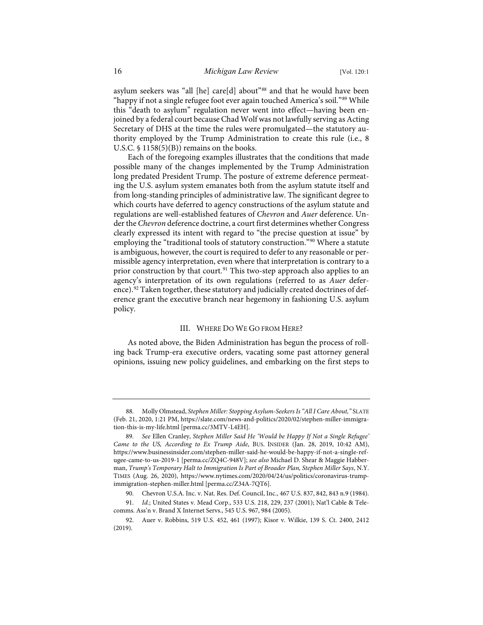asylum seekers was "all [he] care[d] about"[88](#page-16-0) and that he would have been "happy if not a single refugee foot ever again touched America's soil."[89](#page-16-1) While this "death to asylum" regulation never went into effect—having been enjoined by a federal court because Chad Wolf was not lawfully serving as Acting Secretary of DHS at the time the rules were promulgated—the statutory authority employed by the Trump Administration to create this rule (i.e., 8 U.S.C.  $\$$  1158(5)(B)) remains on the books.

Each of the foregoing examples illustrates that the conditions that made possible many of the changes implemented by the Trump Administration long predated President Trump. The posture of extreme deference permeating the U.S. asylum system emanates both from the asylum statute itself and from long-standing principles of administrative law. The significant degree to which courts have deferred to agency constructions of the asylum statute and regulations are well-established features of *Chevron* and *Auer* deference. Under the *Chevron* deference doctrine, a court first determines whether Congress clearly expressed its intent with regard to "the precise question at issue" by employing the "traditional tools of statutory construction."<sup>[90](#page-16-2)</sup> Where a statute is ambiguous, however, the court is required to defer to any reasonable or permissible agency interpretation, even where that interpretation is contrary to a prior construction by that court.<sup>[91](#page-16-3)</sup> This two-step approach also applies to an agency's interpretation of its own regulations (referred to as *Auer* defer-ence).<sup>[92](#page-16-4)</sup> Taken together, these statutory and judicially created doctrines of deference grant the executive branch near hegemony in fashioning U.S. asylum policy.

#### III. WHERE DO WE GO FROM HERE?

As noted above, the Biden Administration has begun the process of rolling back Trump-era executive orders, vacating some past attorney general opinions, issuing new policy guidelines, and embarking on the first steps to

<span id="page-16-0"></span><sup>88.</sup> Molly Olmstead, *Stephen Miller: Stopping Asylum-Seekers Is "All I Care About,"* SLATE (Feb. 21, 2020, 1:21 PM[, https://slate.com/news-and-politics/2020/02/stephen-miller-immigra](https://slate.com/news-and-politics/2020/02/stephen-miller-immigration-this-is-my-life.html)[tion-this-is-my-life.html](https://slate.com/news-and-politics/2020/02/stephen-miller-immigration-this-is-my-life.html) [\[perma.cc/3MTV-L4EH\]](https://perma.cc/3MTV-L4EH).

<span id="page-16-1"></span><sup>89.</sup> *See* Ellen Cranley, *Stephen Miller Said He 'Would be Happy If Not a Single Refugee' Came to the US, According to Ex Trump Aide*, BUS. INSIDER (Jan. 28, 2019, 10:42 AM), [https://www.businessinsider.com/stephen-miller-said-he-would-be-happy-if-not-a-single-ref](https://www.businessinsider.com/stephen-miller-said-he-would-be-happy-if-not-a-single-refugee-came-to-us-2019-1)[ugee-came-to-us-2019-1](https://www.businessinsider.com/stephen-miller-said-he-would-be-happy-if-not-a-single-refugee-came-to-us-2019-1) [\[perma.cc/ZQ4C-948V\]](https://perma.cc/ZQ4C-948V); *see also* Michael D. Shear & Maggie Habberman, *Trump's Temporary Halt to Immigration Is Part of Broader Plan, Stephen Miller Says*, N.Y. TIMES (Aug. 26, 2020), [https://www.nytimes.com/2020/04/24/us/politics/coronavirus-trump](https://www.nytimes.com/2020/04/24/us/politics/coronavirus-trump-immigration-stephen-miller.html)[immigration-stephen-miller.html](https://www.nytimes.com/2020/04/24/us/politics/coronavirus-trump-immigration-stephen-miller.html) [\[perma.cc/Z34A-7QT6\]](https://perma.cc/Z34A-7QT6).

<sup>90.</sup> Chevron U.S.A. Inc. v. Nat. Res. Def. Council, Inc., 467 U.S. 837, 842, 843 n.9 (1984).

<span id="page-16-3"></span><span id="page-16-2"></span><sup>91.</sup> *Id.*; United States v. Mead Corp., 533 U.S. 218, 229, 237 (2001); Nat'l Cable & Telecomms. Ass'n v. Brand X Internet Servs., 545 U.S. 967, 984 (2005).

<span id="page-16-4"></span><sup>92.</sup> Auer v. Robbins, 519 U.S. 452, 461 (1997); Kisor v. Wilkie, 139 S. Ct. 2400, 2412 (2019).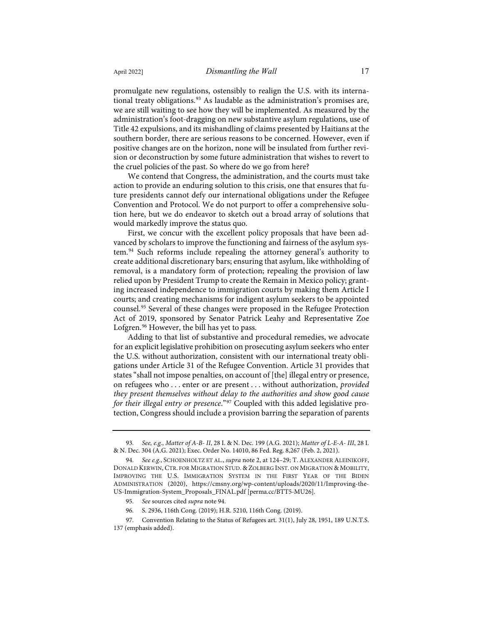promulgate new regulations, ostensibly to realign the U.S. with its interna-tional treaty obligations.<sup>[93](#page-17-1)</sup> As laudable as the administration's promises are, we are still waiting to see how they will be implemented. As measured by the administration's foot-dragging on new substantive asylum regulations, use of Title 42 expulsions, and its mishandling of claims presented by Haitians at the southern border, there are serious reasons to be concerned. However, even if positive changes are on the horizon, none will be insulated from further revision or deconstruction by some future administration that wishes to revert to the cruel policies of the past. So where do we go from here?

We contend that Congress, the administration, and the courts must take action to provide an enduring solution to this crisis, one that ensures that future presidents cannot defy our international obligations under the Refugee Convention and Protocol. We do not purport to offer a comprehensive solution here, but we do endeavor to sketch out a broad array of solutions that would markedly improve the status quo.

<span id="page-17-0"></span>First, we concur with the excellent policy proposals that have been advanced by scholars to improve the functioning and fairness of the asylum system.[94](#page-17-2) Such reforms include repealing the attorney general's authority to create additional discretionary bars; ensuring that asylum, like withholding of removal, is a mandatory form of protection; repealing the provision of law relied upon by President Trump to create the Remain in Mexico policy; granting increased independence to immigration courts by making them Article I courts; and creating mechanisms for indigent asylum seekers to be appointed counsel.[95](#page-17-3) Several of these changes were proposed in the Refugee Protection Act of 2019, sponsored by Senator Patrick Leahy and Representative Zoe Lofgren. [96](#page-17-4) However, the bill has yet to pass.

Adding to that list of substantive and procedural remedies, we advocate for an explicit legislative prohibition on prosecuting asylum seekers who enter the U.S. without authorization, consistent with our international treaty obligations under Article 31 of the Refugee Convention. Article 31 provides that states "shall not impose penalties, on account of [the] illegal entry or presence, on refugees who . . . enter or are present . . . without authorization, *provided they present themselves without delay to the authorities and show good cause for their illegal entry or presence*."[97](#page-17-5) Coupled with this added legislative protection, Congress should include a provision barring the separation of parents

<span id="page-17-1"></span><sup>93.</sup> *See, e.g.*, *Matter of A-B- II*, 28 I. & N. Dec. 199 (A.G. 2021); *Matter of L-E-A- III*, 28 I. & N. Dec. 304 (A.G. 2021); Exec. Order No. 14010, 86 Fed. Reg. 8,267 (Feb. 2, 2021).

<span id="page-17-2"></span><sup>94.</sup> *See e.g.*, SCHOENHOLTZ ET AL., *supra* not[e 2,](#page-1-6) at 124–29; T. ALEXANDER ALEINIKOFF, DONALD KERWIN, CTR. FOR MIGRATION STUD. & ZOLBERG INST. ON MIGRATION & MOBILITY, IMPROVING THE U.S. IMMIGRATION SYSTEM IN THE FIRST YEAR OF THE BIDEN ADMINISTRATION (2020), [https://cmsny.org/wp-content/uploads/2020/11/Improving-the-](https://cmsny.org/wp-content/uploads/2020/11/Improving-the-US-Immigration-System_Proposals_FINAL.pdf)[US-Immigration-System\\_Proposals\\_FINAL.pdf](https://cmsny.org/wp-content/uploads/2020/11/Improving-the-US-Immigration-System_Proposals_FINAL.pdf) [\[perma.cc/BTT5-MU26\]](https://perma.cc/BTT5-MU26).

<sup>95.</sup> *See* sources cited *supra* not[e 94.](#page-17-0)

<sup>96.</sup> S. 2936, 116th Cong. (2019); H.R. 5210, 116th Cong. (2019).

<span id="page-17-5"></span><span id="page-17-4"></span><span id="page-17-3"></span><sup>97.</sup> Convention Relating to the Status of Refugees art. 31(1), July 28, 1951, 189 U.N.T.S. 137 (emphasis added).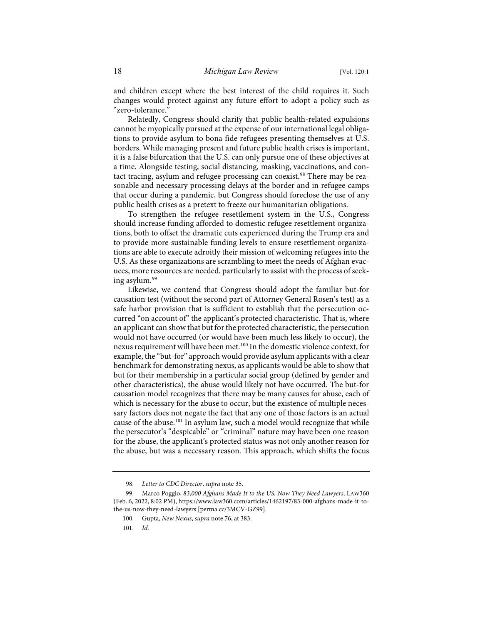and children except where the best interest of the child requires it. Such changes would protect against any future effort to adopt a policy such as "zero-tolerance."

Relatedly, Congress should clarify that public health-related expulsions cannot be myopically pursued at the expense of our international legal obligations to provide asylum to bona fide refugees presenting themselves at U.S. borders. While managing present and future public health crises is important, it is a false bifurcation that the U.S. can only pursue one of these objectives at a time. Alongside testing, social distancing, masking, vaccinations, and con-tact tracing, asylum and refugee processing can coexist.<sup>[98](#page-18-0)</sup> There may be reasonable and necessary processing delays at the border and in refugee camps that occur during a pandemic, but Congress should foreclose the use of any public health crises as a pretext to freeze our humanitarian obligations.

To strengthen the refugee resettlement system in the U.S., Congress should increase funding afforded to domestic refugee resettlement organizations, both to offset the dramatic cuts experienced during the Trump era and to provide more sustainable funding levels to ensure resettlement organizations are able to execute adroitly their mission of welcoming refugees into the U.S. As these organizations are scrambling to meet the needs of Afghan evacuees, more resources are needed, particularly to assist with the process of seeking asylum.[99](#page-18-1)

Likewise, we contend that Congress should adopt the familiar but-for causation test (without the second part of Attorney General Rosen's test) as a safe harbor provision that is sufficient to establish that the persecution occurred "on account of" the applicant's protected characteristic. That is, where an applicant can show that but for the protected characteristic, the persecution would not have occurred (or would have been much less likely to occur), the nexus requirement will have been met. [100](#page-18-2) In the domestic violence context, for example, the "but-for" approach would provide asylum applicants with a clear benchmark for demonstrating nexus, as applicants would be able to show that but for their membership in a particular social group (defined by gender and other characteristics), the abuse would likely not have occurred. The but-for causation model recognizes that there may be many causes for abuse, each of which is necessary for the abuse to occur, but the existence of multiple necessary factors does not negate the fact that any one of those factors is an actual cause of the abuse. [101](#page-18-3) In asylum law, such a model would recognize that while the persecutor's "despicable" or "criminal" nature may have been one reason for the abuse, the applicant's protected status was not only another reason for the abuse, but was a necessary reason. This approach, which shifts the focus

<sup>98.</sup> *Letter to CDC Director*, *supra* not[e 35.](#page-7-6)

<span id="page-18-3"></span><span id="page-18-2"></span><span id="page-18-1"></span><span id="page-18-0"></span><sup>99.</sup> Marco Poggio, *83,000 Afghans Made It to the US. Now They Need Lawyers*, LAW360 (Feb. 6, 2022, 8:02 PM)[, https://www.law360.com/articles/1462197/83-000-afghans-made-it-to](https://www.law360.com/articles/1462197/83-000-afghans-made-it-to-the-us-now-they-need-lawyers)[the-us-now-they-need-lawyers](https://www.law360.com/articles/1462197/83-000-afghans-made-it-to-the-us-now-they-need-lawyers) [\[perma.cc/3MCV-GZ99\]](https://perma.cc/3MCV-GZ99).

<sup>100.</sup> Gupta, *New Nexus*, *supra* note [76,](#page-13-9) at 383.

<sup>101.</sup> *Id.*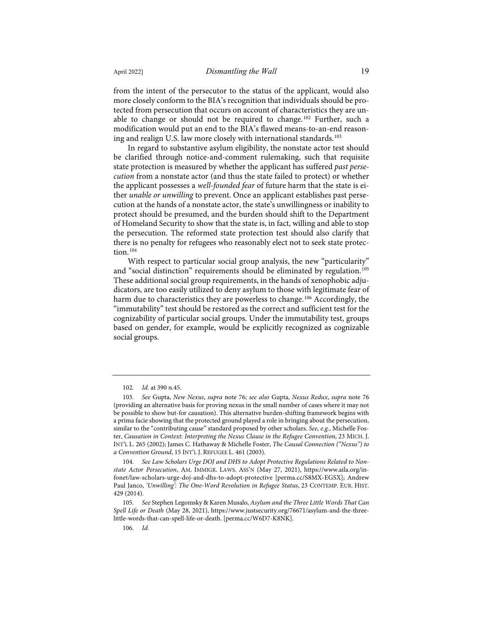from the intent of the persecutor to the status of the applicant, would also more closely conform to the BIA's recognition that individuals should be protected from persecution that occurs on account of characteristics they are unable to change or should not be required to change. [102](#page-19-0) Further, such a modification would put an end to the BIA's flawed means-to-an-end reason-ing and realign U.S. law more closely with international standards.<sup>[103](#page-19-1)</sup>

In regard to substantive asylum eligibility, the nonstate actor test should be clarified through notice-and-comment rulemaking, such that requisite state protection is measured by whether the applicant has suffered *past persecution* from a nonstate actor (and thus the state failed to protect) or whether the applicant possesses a *well-founded fear* of future harm that the state is either *unable or unwilling* to prevent. Once an applicant establishes past persecution at the hands of a nonstate actor, the state's unwillingness or inability to protect should be presumed, and the burden should shift to the Department of Homeland Security to show that the state is, in fact, willing and able to stop the persecution. The reformed state protection test should also clarify that there is no penalty for refugees who reasonably elect not to seek state protec-tion.<sup>[104](#page-19-2)</sup>

With respect to particular social group analysis, the new "particularity" and "social distinction" requirements should be eliminated by regulation.<sup>[105](#page-19-3)</sup> These additional social group requirements, in the hands of xenophobic adjudicators, are too easily utilized to deny asylum to those with legitimate fear of harm due to characteristics they are powerless to change.<sup>[106](#page-19-4)</sup> Accordingly, the "immutability" test should be restored as the correct and sufficient test for the cognizability of particular social groups. Under the immutability test, groups based on gender, for example, would be explicitly recognized as cognizable social groups.

<sup>102.</sup> *Id.* at 390 n.45.

<span id="page-19-1"></span><span id="page-19-0"></span><sup>103.</sup> *See* Gupta, *New Nexus*, *supra* note [76;](#page-13-9) *see also* Gupta, *Nexus Redux*, *supra* note [76](#page-13-9) (providing an alternative basis for proving nexus in the small number of cases where it may not be possible to show but-for causation). This alternative burden-shifting framework begins with a prima facie showing that the protected ground played a role in bringing about the persecution, similar to the "contributing cause" standard proposed by other scholars. *See, e.g.*, Michelle Foster, *Causation in Context: Interpreting the Nexus Clause in the Refugee Convention*, 23 MICH. J. INT'L L. 265 (2002); James C. Hathaway & Michelle Foster, *The Causal Connection ("Nexus") to a Convention Ground*, 15 INT'L J. REFUGEE L. 461 (2003).

<span id="page-19-2"></span><sup>104.</sup> *See Law Scholars Urge DOJ and DHS to Adopt Protective Regulations Related to Nonstate Actor Persecution*, AM. IMMIGR. LAWS. ASS'N (May 27, 2021), [https://www.aila.org/in](https://www.aila.org/infonet/law-scholars-urge-doj-and-dhs-to-adopt-protective)[fonet/law-scholars-urge-doj-and-dhs-to-adopt-protective](https://www.aila.org/infonet/law-scholars-urge-doj-and-dhs-to-adopt-protective) [\[perma.cc/S8MX-EGSX\]](https://perma.cc/S8MX-EGSX); Andrew Paul Janco, *'Unwilling': The One-Word Revolution in Refugee Status*, 23 CONTEMP. EUR. HIST. 429 (2014).

<span id="page-19-4"></span><span id="page-19-3"></span><sup>105.</sup> *See* Stephen Legomsky & Karen Musalo, *Asylum and the Three Little Words That Can Spell Life or Death* (May 28, 2021), [https://www.justsecurity.org/76671/asylum-and-the-three](https://www.justsecurity.org/76671/asylum-and-the-three-little-words-that-can-spell-life-or-death./)[little-words-that-can-spell-life-or-death.](https://www.justsecurity.org/76671/asylum-and-the-three-little-words-that-can-spell-life-or-death./) [\[perma.cc/W6D7-K8NK\]](https://perma.cc/W6D7-K8NK).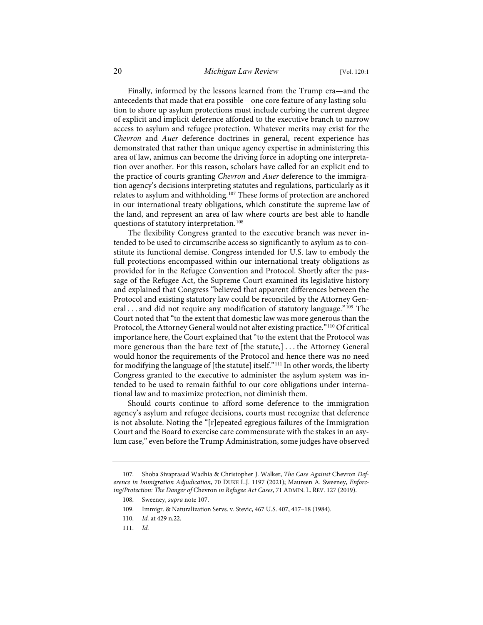Finally, informed by the lessons learned from the Trump era—and the antecedents that made that era possible—one core feature of any lasting solution to shore up asylum protections must include curbing the current degree of explicit and implicit deference afforded to the executive branch to narrow access to asylum and refugee protection. Whatever merits may exist for the *Chevron* and *Auer* deference doctrines in general, recent experience has demonstrated that rather than unique agency expertise in administering this area of law, animus can become the driving force in adopting one interpretation over another. For this reason, scholars have called for an explicit end to the practice of courts granting *Chevron* and *Auer* deference to the immigration agency's decisions interpreting statutes and regulations, particularly as it relates to asylum and withholding.[107](#page-20-1) These forms of protection are anchored in our international treaty obligations, which constitute the supreme law of the land, and represent an area of law where courts are best able to handle questions of statutory interpretation.<sup>[108](#page-20-2)</sup>

<span id="page-20-0"></span>The flexibility Congress granted to the executive branch was never intended to be used to circumscribe access so significantly to asylum as to constitute its functional demise. Congress intended for U.S. law to embody the full protections encompassed within our international treaty obligations as provided for in the Refugee Convention and Protocol. Shortly after the passage of the Refugee Act, the Supreme Court examined its legislative history and explained that Congress "believed that apparent differences between the Protocol and existing statutory law could be reconciled by the Attorney General . . . and did not require any modification of statutory language."[109](#page-20-3) The Court noted that "to the extent that domestic law was more generous than the Protocol, the Attorney General would not alter existing practice."[110](#page-20-4) Of critical importance here, the Court explained that "to the extent that the Protocol was more generous than the bare text of [the statute,] . . . the Attorney General would honor the requirements of the Protocol and hence there was no need for modifying the language of [the statute] itself."[111](#page-20-5) In other words, the liberty Congress granted to the executive to administer the asylum system was intended to be used to remain faithful to our core obligations under international law and to maximize protection, not diminish them.

Should courts continue to afford some deference to the immigration agency's asylum and refugee decisions, courts must recognize that deference is not absolute. Noting the "[r]epeated egregious failures of the Immigration Court and the Board to exercise care commensurate with the stakes in an asylum case," even before the Trump Administration, some judges have observed

<span id="page-20-5"></span>111. *Id.*

<span id="page-20-4"></span><span id="page-20-3"></span><span id="page-20-2"></span><span id="page-20-1"></span><sup>107.</sup> Shoba Sivaprasad Wadhia & Christopher J. Walker, *The Case Against* Chevron *Deference in Immigration Adjudication*, 70 DUKE L.J. 1197 (2021); Maureen A. Sweeney, *Enforcing/Protection: The Danger of* Chevron *in Refugee Act Cases*, 71 ADMIN. L. REV. 127 (2019).

<sup>108.</sup> Sweeney, *supra* not[e 107.](#page-20-0)

<sup>109.</sup> Immigr. & Naturalization Servs. v. Stevic, 467 U.S. 407, 417–18 (1984).

<sup>110.</sup> *Id.* at 429 n.22.